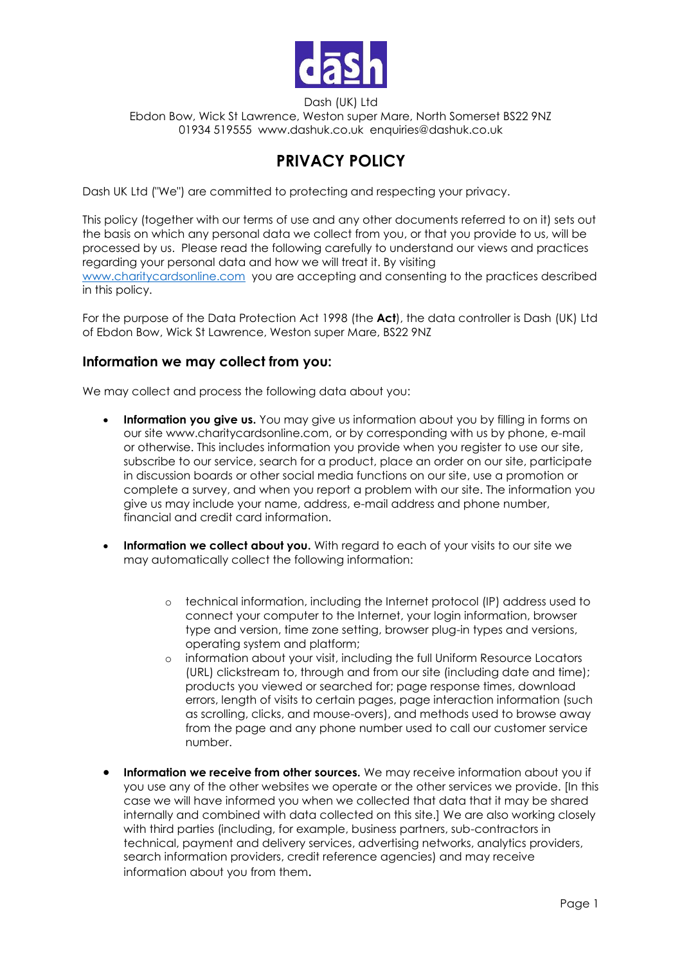

Dash (UK) Ltd Ebdon Bow, Wick St Lawrence, Weston super Mare, North Somerset BS22 9NZ 01934 519555 www.dashuk.co.uk enquiries@dashuk.co.uk

# **PRIVACY POLICY**

Dash UK Ltd ("We") are committed to protecting and respecting your privacy.

This policy (together with our terms of use and any other documents referred to on it) sets out the basis on which any personal data we collect from you, or that you provide to us, will be processed by us. Please read the following carefully to understand our views and practices regarding your personal data and how we will treat it. By visiting [www.charitycardsonline.com](http://www.charitycardsonline.com/) you are accepting and consenting to the practices described in this policy.

For the purpose of the Data Protection Act 1998 (the **Act**), the data controller is Dash (UK) Ltd of Ebdon Bow, Wick St Lawrence, Weston super Mare, BS22 9NZ

#### **Information we may collect from you:**

We may collect and process the following data about you:

- **Information you give us.** You may give us information about you by filling in forms on our site www.charitycardsonline.com, or by corresponding with us by phone, e-mail or otherwise. This includes information you provide when you register to use our site, subscribe to our service, search for a product, place an order on our site, participate in discussion boards or other social media functions on our site, use a promotion or complete a survey, and when you report a problem with our site. The information you give us may include your name, address, e-mail address and phone number, financial and credit card information.
- **Information we collect about you.** With regard to each of your visits to our site we may automatically collect the following information:
	- o technical information, including the Internet protocol (IP) address used to connect your computer to the Internet, your login information, browser type and version, time zone setting, browser plug-in types and versions, operating system and platform;
	- o information about your visit, including the full Uniform Resource Locators (URL) clickstream to, through and from our site (including date and time); products you viewed or searched for; page response times, download errors, length of visits to certain pages, page interaction information (such as scrolling, clicks, and mouse-overs), and methods used to browse away from the page and any phone number used to call our customer service number.
- **Information we receive from other sources.** We may receive information about you if you use any of the other websites we operate or the other services we provide. [In this case we will have informed you when we collected that data that it may be shared internally and combined with data collected on this site.] We are also working closely with third parties (including, for example, business partners, sub-contractors in technical, payment and delivery services, advertising networks, analytics providers, search information providers, credit reference agencies) and may receive information about you from them.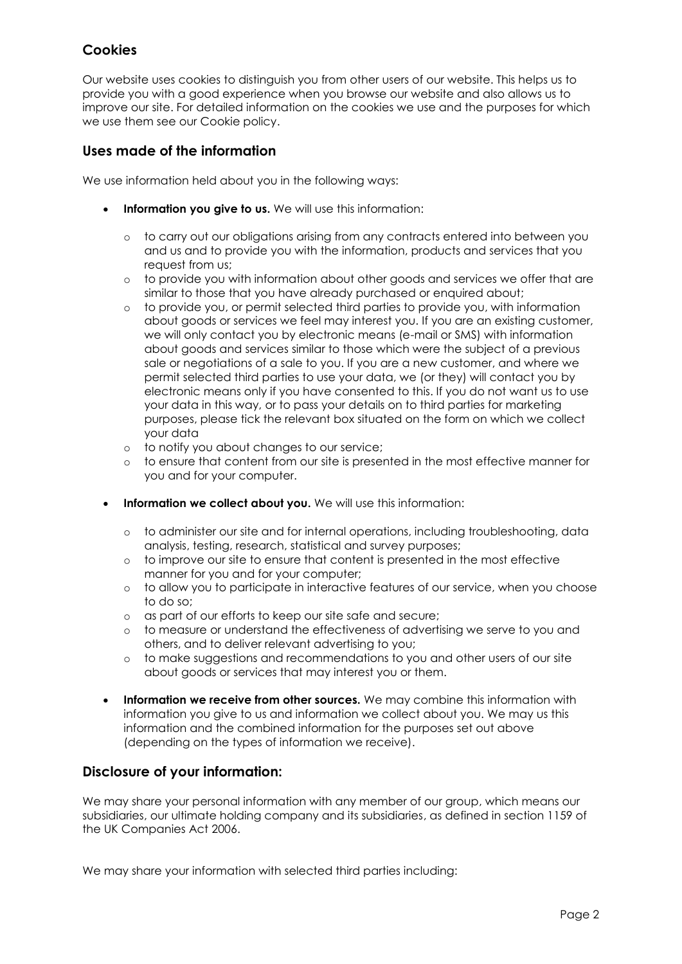# **Cookies**

Our website uses cookies to distinguish you from other users of our website. This helps us to provide you with a good experience when you browse our website and also allows us to improve our site. For detailed information on the cookies we use and the purposes for which we use them see our Cookie policy.

### **Uses made of the information**

We use information held about you in the following ways:

- **Information you give to us.** We will use this information:
	- o to carry out our obligations arising from any contracts entered into between you and us and to provide you with the information, products and services that you request from us;
	- o to provide you with information about other goods and services we offer that are similar to those that you have already purchased or enquired about;
	- o to provide you, or permit selected third parties to provide you, with information about goods or services we feel may interest you. If you are an existing customer, we will only contact you by electronic means (e-mail or SMS) with information about goods and services similar to those which were the subject of a previous sale or negotiations of a sale to you. If you are a new customer, and where we permit selected third parties to use your data, we (or they) will contact you by electronic means only if you have consented to this. If you do not want us to use your data in this way, or to pass your details on to third parties for marketing purposes, please tick the relevant box situated on the form on which we collect your data
	- o to notify you about changes to our service;
	- o to ensure that content from our site is presented in the most effective manner for you and for your computer.
- **Information we collect about you.** We will use this information:
	- o to administer our site and for internal operations, including troubleshooting, data analysis, testing, research, statistical and survey purposes;
	- o to improve our site to ensure that content is presented in the most effective manner for you and for your computer;
	- o to allow you to participate in interactive features of our service, when you choose to do so;
	- o as part of our efforts to keep our site safe and secure;
	- o to measure or understand the effectiveness of advertising we serve to you and others, and to deliver relevant advertising to you;
	- o to make suggestions and recommendations to you and other users of our site about goods or services that may interest you or them.
- **Information we receive from other sources.** We may combine this information with information you give to us and information we collect about you. We may us this information and the combined information for the purposes set out above (depending on the types of information we receive).

### **Disclosure of your information:**

We may share your personal information with any member of our group, which means our subsidiaries, our ultimate holding company and its subsidiaries, as defined in section 1159 of the UK Companies Act 2006.

We may share your information with selected third parties including: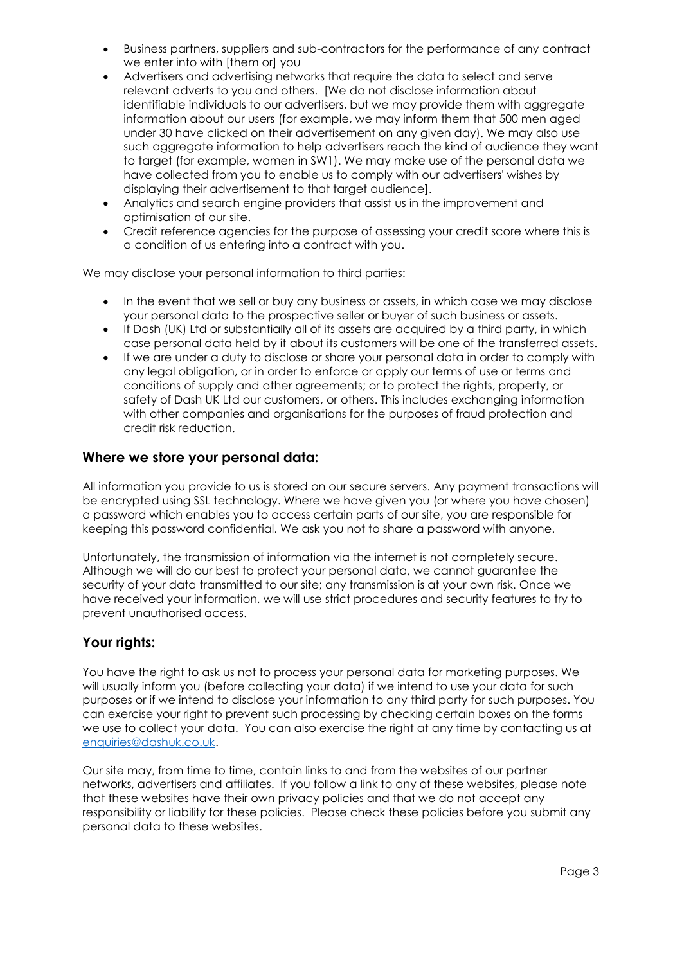- Business partners, suppliers and sub-contractors for the performance of any contract we enter into with [them or] you
- Advertisers and advertising networks that require the data to select and serve relevant adverts to you and others. [We do not disclose information about identifiable individuals to our advertisers, but we may provide them with aggregate information about our users (for example, we may inform them that 500 men aged under 30 have clicked on their advertisement on any given day). We may also use such aggregate information to help advertisers reach the kind of audience they want to target (for example, women in SW1). We may make use of the personal data we have collected from you to enable us to comply with our advertisers' wishes by displaying their advertisement to that target audience].
- Analytics and search engine providers that assist us in the improvement and optimisation of our site.
- Credit reference agencies for the purpose of assessing your credit score where this is a condition of us entering into a contract with you.

We may disclose your personal information to third parties:

- In the event that we sell or buy any business or assets, in which case we may disclose your personal data to the prospective seller or buyer of such business or assets.
- If Dash (UK) Ltd or substantially all of its assets are acquired by a third party, in which case personal data held by it about its customers will be one of the transferred assets.
- If we are under a duty to disclose or share your personal data in order to comply with any legal obligation, or in order to enforce or apply our terms of use or terms and conditions of supply and other agreements; or to protect the rights, property, or safety of Dash UK Ltd our customers, or others. This includes exchanging information with other companies and organisations for the purposes of fraud protection and credit risk reduction.

#### **Where we store your personal data:**

All information you provide to us is stored on our secure servers. Any payment transactions will be encrypted using SSL technology. Where we have given you (or where you have chosen) a password which enables you to access certain parts of our site, you are responsible for keeping this password confidential. We ask you not to share a password with anyone.

Unfortunately, the transmission of information via the internet is not completely secure. Although we will do our best to protect your personal data, we cannot guarantee the security of your data transmitted to our site; any transmission is at your own risk. Once we have received your information, we will use strict procedures and security features to try to prevent unauthorised access.

### **Your rights:**

You have the right to ask us not to process your personal data for marketing purposes. We will usually inform you (before collecting your data) if we intend to use your data for such purposes or if we intend to disclose your information to any third party for such purposes. You can exercise your right to prevent such processing by checking certain boxes on the forms we use to collect your data. You can also exercise the right at any time by contacting us at [enquiries@dashuk.co.uk.](mailto:enquiries@dashuk.co.uk)

Our site may, from time to time, contain links to and from the websites of our partner networks, advertisers and affiliates. If you follow a link to any of these websites, please note that these websites have their own privacy policies and that we do not accept any responsibility or liability for these policies. Please check these policies before you submit any personal data to these websites.